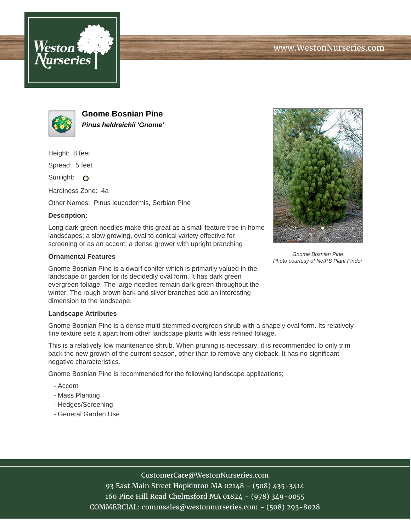



**Gnome Bosnian Pine Pinus heldreichii 'Gnome'**

Height: 8 feet

Spread: 5 feet

Sunlight: O

Hardiness Zone: 4a

Other Names: Pinus leucodermis, Serbian Pine

### **Description:**

Long dark-green needles make this great as a small feature tree in home landscapes; a slow growing, oval to conical variety effective for screening or as an accent; a dense grower with upright branching

### **Ornamental Features**

Gnome Bosnian Pine is a dwarf conifer which is primarily valued in the landscape or garden for its decidedly oval form. It has dark green evergreen foliage. The large needles remain dark green throughout the winter. The rough brown bark and silver branches add an interesting dimension to the landscape.

### **Landscape Attributes**

Gnome Bosnian Pine is a dense multi-stemmed evergreen shrub with a shapely oval form. Its relatively fine texture sets it apart from other landscape plants with less refined foliage.

This is a relatively low maintenance shrub. When pruning is necessary, it is recommended to only trim back the new growth of the current season, other than to remove any dieback. It has no significant negative characteristics.

Gnome Bosnian Pine is recommended for the following landscape applications;

- Accent
- Mass Planting
- Hedges/Screening
- General Garden Use



Gnome Bosnian Pine Photo courtesy of NetPS Plant Finder

# CustomerCare@WestonNurseries.com

93 East Main Street Hopkinton MA 02148 - (508) 435-3414 160 Pine Hill Road Chelmsford MA 01824 - (978) 349-0055 COMMERCIAL: commsales@westonnurseries.com - (508) 293-8028